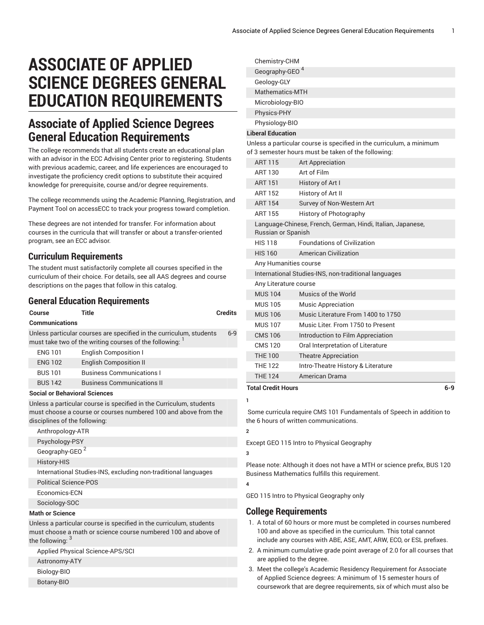# **ASSOCIATE OF APPLIED SCIENCE DEGREES GENERAL EDUCATION REQUIREMENTS**

## **Associate of Applied Science Degrees General Education Requirements**

The college recommends that all students create an educational plan with an advisor in the ECC Advising Center prior to registering. Students with previous academic, career, and life experiences are encouraged to investigate the proficiency credit options to substitute their acquired knowledge for prerequisite, course and/or degree requirements.

The college recommends using the Academic Planning, Registration, and Payment Tool on accessECC to track your progress toward completion.

These degrees are not intended for transfer. For information about courses in the curricula that will transfer or about a transfer-oriented program, see an ECC advisor.

#### **Curriculum Requirements**

The student must satisfactorily complete all courses specified in the curriculum of their choice. For details, see all AAS degrees and course descriptions on the pages that follow in this catalog.

### **General Education Requirements**

| Course                                                                                                                                                                  | <b>Title</b>                      | <b>Credits</b> |  |
|-------------------------------------------------------------------------------------------------------------------------------------------------------------------------|-----------------------------------|----------------|--|
| <b>Communications</b>                                                                                                                                                   |                                   |                |  |
| Unless particular courses are specified in the curriculum, students<br>$6-9$<br>must take two of the writing courses of the following:                                  |                                   |                |  |
| <b>ENG 101</b>                                                                                                                                                          | <b>English Composition I</b>      |                |  |
| <b>ENG 102</b>                                                                                                                                                          | <b>English Composition II</b>     |                |  |
| <b>BUS 101</b>                                                                                                                                                          | <b>Business Communications I</b>  |                |  |
| <b>BUS 142</b>                                                                                                                                                          | <b>Business Communications II</b> |                |  |
| <b>Social or Behavioral Sciences</b>                                                                                                                                    |                                   |                |  |
| Unless a particular course is specified in the Curriculum, students<br>must choose a course or courses numbered 100 and above from the<br>disciplines of the following: |                                   |                |  |
| Anthropology-ATR                                                                                                                                                        |                                   |                |  |
| Psychology-PSY                                                                                                                                                          |                                   |                |  |
| Geography-GEO <sup>2</sup>                                                                                                                                              |                                   |                |  |
| History-HIS                                                                                                                                                             |                                   |                |  |
| International Studies-INS, excluding non-traditional languages                                                                                                          |                                   |                |  |
|                                                                                                                                                                         | <b>Political Science-POS</b>      |                |  |
|                                                                                                                                                                         | Economics-ECN                     |                |  |
| Sociology-SOC                                                                                                                                                           |                                   |                |  |
| <b>Math or Science</b>                                                                                                                                                  |                                   |                |  |
| Unless a particular course is specified in the curriculum, students<br>must choose a math or science course numbered 100 and above of<br>the following: 3               |                                   |                |  |

Applied Physical Science-APS/SCI

Astronomy-ATY

Biology-BIO

Botany-BIO

|                                                                                                                             | Chemistry-CHM              |                   |  |
|-----------------------------------------------------------------------------------------------------------------------------|----------------------------|-------------------|--|
|                                                                                                                             | Geography-GEO <sup>4</sup> |                   |  |
|                                                                                                                             | Geology-GLY                |                   |  |
|                                                                                                                             | Mathematics-MTH            |                   |  |
|                                                                                                                             | Microbiology-BIO           |                   |  |
|                                                                                                                             | Physics-PHY                |                   |  |
|                                                                                                                             | Physiology-BIO             |                   |  |
| <b>Liberal Education</b>                                                                                                    |                            |                   |  |
| Unless a particular course is specified in the curriculum, a minimum<br>of 3 semester hours must be taken of the following: |                            |                   |  |
|                                                                                                                             | <b>ART 115</b>             | Art Appreciation  |  |
|                                                                                                                             | ART 130                    | Art of Film       |  |
|                                                                                                                             | <b>ART 151</b>             | History of Art I  |  |
|                                                                                                                             | ART 152                    | History of Art II |  |

ART 154 Survey of Non-Western Art ART 155 History of Photography Language-Chinese, French, German, Hindi, Italian, Japanese,

Russian or Spanish HIS 118 Foundations of Civilization HIS 160 American Civilization Any Humanities course International Studies-INS, non-traditional languages Any Literature course MUS 104 Musics of the World MUS 105 Music Appreciation

| <b>THE 124</b> | American Drama                     |
|----------------|------------------------------------|
| <b>THE 122</b> | Intro-Theatre History & Literature |
| <b>THE 100</b> | <b>Theatre Appreciation</b>        |
| <b>CMS 120</b> | Oral Interpretation of Literature  |
| <b>CMS 106</b> | Introduction to Film Appreciation  |
| <b>MUS 107</b> | Music Liter. From 1750 to Present  |
| <b>MUS 106</b> | Music Literature From 1400 to 1750 |

#### **Total Credit Hours 6-9**

**1**

Some curricula require CMS 101 Fundamentals of Speech in addition to the 6 hours of written communications.

Except GEO 115 Intro to Physical Geography

**3**

**4**

**2**

Please note: Although it does not have a MTH or science prefix, BUS 120 Business Mathematics fulfills this requirement.

GEO 115 Intro to Physical Geography only

#### **College Requirements**

- 1. A total of 60 hours or more must be completed in courses numbered 100 and above as specified in the curriculum. This total cannot include any courses with ABE, ASE, AMT, ARW, ECO, or ESL prefixes.
- 2. A minimum cumulative grade point average of 2.0 for all courses that are applied to the degree.
- 3. Meet the college's Academic Residency Requirement for Associate of Applied Science degrees: A minimum of 15 semester hours of coursework that are degree requirements, six of which must also be